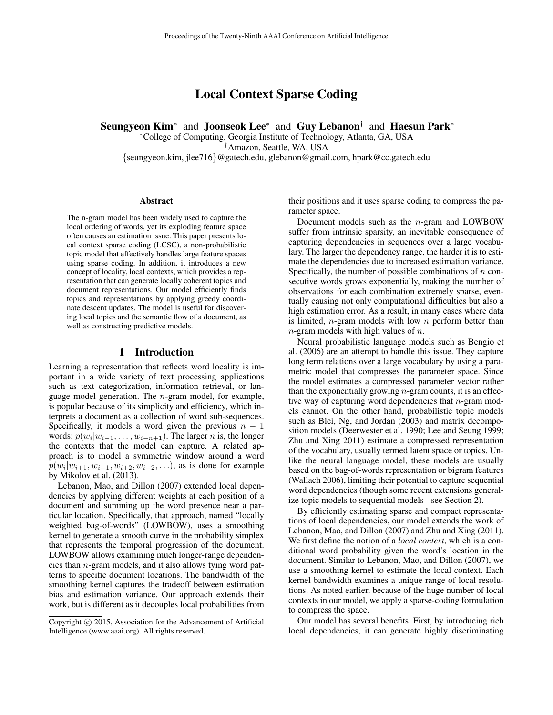Local Context Sparse Coding

Seungyeon Kim<sup>∗</sup> and Joonseok Lee<sup>∗</sup> and Guy Lebanon<sup>†</sup> and Haesun Park<sup>∗</sup>

<sup>∗</sup>College of Computing, Georgia Institute of Technology, Atlanta, GA, USA †Amazon, Seattle, WA, USA {seungyeon.kim, jlee716}@gatech.edu, glebanon@gmail.com, hpark@cc.gatech.edu

#### Abstract

The n-gram model has been widely used to capture the local ordering of words, yet its exploding feature space often causes an estimation issue. This paper presents local context sparse coding (LCSC), a non-probabilistic topic model that effectively handles large feature spaces using sparse coding. In addition, it introduces a new concept of locality, local contexts, which provides a representation that can generate locally coherent topics and document representations. Our model efficiently finds topics and representations by applying greedy coordinate descent updates. The model is useful for discovering local topics and the semantic flow of a document, as well as constructing predictive models.

## 1 Introduction

Learning a representation that reflects word locality is important in a wide variety of text processing applications such as text categorization, information retrieval, or language model generation. The n-gram model, for example, is popular because of its simplicity and efficiency, which interprets a document as a collection of word sub-sequences. Specifically, it models a word given the previous  $n - 1$ words:  $p(w_i|w_{i-1}, \ldots, w_{i-n+1})$ . The larger *n* is, the longer the contexts that the model can capture. A related approach is to model a symmetric window around a word  $p(w_i|w_{i+1}, w_{i-1}, w_{i+2}, w_{i-2}, \ldots)$ , as is done for example by Mikolov et al. (2013).

Lebanon, Mao, and Dillon (2007) extended local dependencies by applying different weights at each position of a document and summing up the word presence near a particular location. Specifically, that approach, named "locally weighted bag-of-words" (LOWBOW), uses a smoothing kernel to generate a smooth curve in the probability simplex that represents the temporal progression of the document. LOWBOW allows examining much longer-range dependencies than n-gram models, and it also allows tying word patterns to specific document locations. The bandwidth of the smoothing kernel captures the tradeoff between estimation bias and estimation variance. Our approach extends their work, but is different as it decouples local probabilities from

their positions and it uses sparse coding to compress the parameter space.

Document models such as the  $n$ -gram and LOWBOW suffer from intrinsic sparsity, an inevitable consequence of capturing dependencies in sequences over a large vocabulary. The larger the dependency range, the harder it is to estimate the dependencies due to increased estimation variance. Specifically, the number of possible combinations of  $n$  consecutive words grows exponentially, making the number of observations for each combination extremely sparse, eventually causing not only computational difficulties but also a high estimation error. As a result, in many cases where data is limited, *n*-gram models with low *n* perform better than  $n$ -gram models with high values of  $n$ .

Neural probabilistic language models such as Bengio et al. (2006) are an attempt to handle this issue. They capture long term relations over a large vocabulary by using a parametric model that compresses the parameter space. Since the model estimates a compressed parameter vector rather than the exponentially growing  $n$ -gram counts, it is an effective way of capturing word dependencies that  $n$ -gram models cannot. On the other hand, probabilistic topic models such as Blei, Ng, and Jordan (2003) and matrix decomposition models (Deerwester et al. 1990; Lee and Seung 1999; Zhu and Xing 2011) estimate a compressed representation of the vocabulary, usually termed latent space or topics. Unlike the neural language model, these models are usually based on the bag-of-words representation or bigram features (Wallach 2006), limiting their potential to capture sequential word dependencies (though some recent extensions generalize topic models to sequential models - see Section 2).

By efficiently estimating sparse and compact representations of local dependencies, our model extends the work of Lebanon, Mao, and Dillon (2007) and Zhu and Xing (2011). We first define the notion of a *local context*, which is a conditional word probability given the word's location in the document. Similar to Lebanon, Mao, and Dillon (2007), we use a smoothing kernel to estimate the local context. Each kernel bandwidth examines a unique range of local resolutions. As noted earlier, because of the huge number of local contexts in our model, we apply a sparse-coding formulation to compress the space.

Our model has several benefits. First, by introducing rich local dependencies, it can generate highly discriminating

Copyright © 2015, Association for the Advancement of Artificial Intelligence (www.aaai.org). All rights reserved.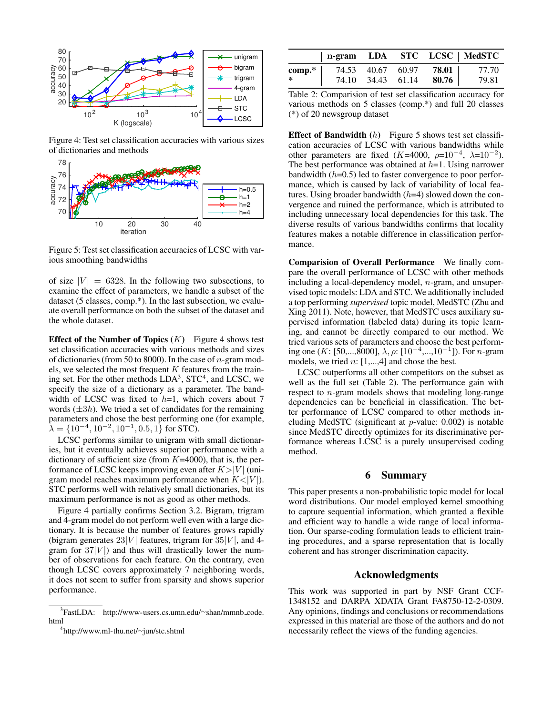

Figure 4: Test set classification accuracies with various sizes of dictionaries and methods



Figure 5: Test set classification accuracies of LCSC with various smoothing bandwidths

of size  $|V| = 6328$ . In the following two subsections, to examine the effect of parameters, we handle a subset of the dataset (5 classes, comp.\*). In the last subsection, we evaluate overall performance on both the subset of the dataset and the whole dataset.

**Effect of the Number of Topics**  $(K)$  Figure 4 shows test set classification accuracies with various methods and sizes of dictionaries (from 50 to 8000). In the case of  $n$ -gram models, we selected the most frequent  $K$  features from the training set. For the other methods  $LDA<sup>3</sup>$ , STC<sup>4</sup>, and LCSC, we specify the size of a dictionary as a parameter. The bandwidth of LCSC was fixed to  $h=1$ , which covers about 7 words  $(\pm 3h)$ . We tried a set of candidates for the remaining parameters and chose the best performing one (for example,  $\tilde{\lambda} = \{10^{-4}, 10^{-2}, 10^{-1}, 0.5, 1\}$  for STC).

LCSC performs similar to unigram with small dictionaries, but it eventually achieves superior performance with a dictionary of sufficient size (from  $K=4000$ ), that is, the performance of LCSC keeps improving even after  $K > |V|$  (unigram model reaches maximum performance when  $K \langle V |$ . STC performs well with relatively small dictionaries, but its maximum performance is not as good as other methods.

Figure 4 partially confirms Section 3.2. Bigram, trigram and 4-gram model do not perform well even with a large dictionary. It is because the number of features grows rapidly (bigram generates  $23|V|$  features, trigram for  $35|V|$ , and 4gram for  $37|V|$ ) and thus will drastically lower the number of observations for each feature. On the contrary, even though LCSC covers approximately 7 neighboring words, it does not seem to suffer from sparsity and shows superior performance.

|                    |       |                                  |                | n-gram LDA STC LCSC   MedSTC |
|--------------------|-------|----------------------------------|----------------|------------------------------|
| $comp.*$<br>$\ast$ | 74.10 | 74.53 40.67 60.97<br>34.43 61.14 | 78.01<br>80.76 | 77.70<br>79.81               |

Table 2: Comparision of test set classification accuracy for various methods on 5 classes (comp.\*) and full 20 classes (\*) of 20 newsgroup dataset

**Effect of Bandwidth**  $(h)$  Figure 5 shows test set classification accuracies of LCSC with various bandwidths while other parameters are fixed  $(K=4000, \rho=10^{-4}, \lambda=10^{-2})$ . The best performance was obtained at  $h=1$ . Using narrower bandwidth  $(h=0.5)$  led to faster convergence to poor performance, which is caused by lack of variability of local features. Using broader bandwidth  $(h=4)$  slowed down the convergence and ruined the performance, which is attributed to including unnecessary local dependencies for this task. The diverse results of various bandwidths confirms that locality features makes a notable difference in classification performance.

Comparision of Overall Performance We finally compare the overall performance of LCSC with other methods including a local-dependency model,  $n$ -gram, and unsupervised topic models: LDA and STC. We additionally included a top performing *supervised* topic model, MedSTC (Zhu and Xing 2011). Note, however, that MedSTC uses auxiliary supervised information (labeled data) during its topic learning, and cannot be directly compared to our method. We tried various sets of parameters and choose the best performing one (K: [50,...,8000],  $\lambda$ ,  $\rho$ : [10<sup>-4</sup>,...,10<sup>-1</sup>]). For *n*-gram models, we tried  $n: [1, ..., 4]$  and chose the best.

LCSC outperforms all other competitors on the subset as well as the full set (Table 2). The performance gain with respect to n-gram models shows that modeling long-range dependencies can be beneficial in classification. The better performance of LCSC compared to other methods including MedSTC (significant at  $p$ -value: 0.002) is notable since MedSTC directly optimizes for its discriminative performance whereas LCSC is a purely unsupervised coding method.

### 6 Summary

This paper presents a non-probabilistic topic model for local word distributions. Our model employed kernel smoothing to capture sequential information, which granted a flexible and efficient way to handle a wide range of local information. Our sparse-coding formulation leads to efficient training procedures, and a sparse representation that is locally coherent and has stronger discrimination capacity.

## Acknowledgments

This work was supported in part by NSF Grant CCF-1348152 and DARPA XDATA Grant FA8750-12-2-0309. Any opinions, findings and conclusions or recommendations expressed in this material are those of the authors and do not necessarily reflect the views of the funding agencies.

<sup>3</sup> FastLDA: http://www-users.cs.umn.edu/∼shan/mmnb code. html

<sup>4</sup> http://www.ml-thu.net/∼jun/stc.shtml